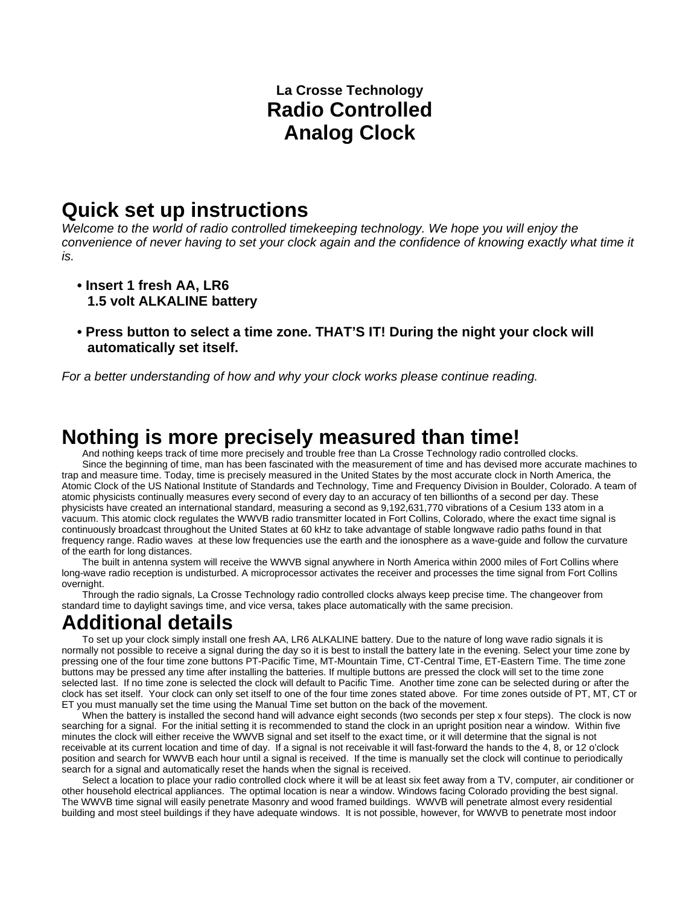### **La Crosse Technology Radio Controlled Analog Clock**

# **Quick set up instructions**

*Welcome to the world of radio controlled timekeeping technology. We hope you will enjoy the convenience of never having to set your clock again and the confidence of knowing exactly what time it is.* 

- **Insert 1 fresh AA, LR6 1.5 volt ALKALINE battery**
- **Press button to select a time zone. THAT'S IT! During the night your clock will automatically set itself.**

*For a better understanding of how and why your clock works please continue reading.* 

# **Nothing is more precisely measured than time!**

 And nothing keeps track of time more precisely and trouble free than La Crosse Technology radio controlled clocks. Since the beginning of time, man has been fascinated with the measurement of time and has devised more accurate machines to trap and measure time. Today, time is precisely measured in the United States by the most accurate clock in North America, the Atomic Clock of the US National Institute of Standards and Technology, Time and Frequency Division in Boulder, Colorado. A team of atomic physicists continually measures every second of every day to an accuracy of ten billionths of a second per day. These physicists have created an international standard, measuring a second as 9,192,631,770 vibrations of a Cesium 133 atom in a vacuum. This atomic clock regulates the WWVB radio transmitter located in Fort Collins, Colorado, where the exact time signal is continuously broadcast throughout the United States at 60 kHz to take advantage of stable longwave radio paths found in that frequency range. Radio waves at these low frequencies use the earth and the ionosphere as a wave-guide and follow the curvature of the earth for long distances.

 The built in antenna system will receive the WWVB signal anywhere in North America within 2000 miles of Fort Collins where long-wave radio reception is undisturbed. A microprocessor activates the receiver and processes the time signal from Fort Collins overnight

 Through the radio signals, La Crosse Technology radio controlled clocks always keep precise time. The changeover from standard time to daylight savings time, and vice versa, takes place automatically with the same precision.

### **Additional details**

 To set up your clock simply install one fresh AA, LR6 ALKALINE battery. Due to the nature of long wave radio signals it is normally not possible to receive a signal during the day so it is best to install the battery late in the evening. Select your time zone by pressing one of the four time zone buttons PT-Pacific Time, MT-Mountain Time, CT-Central Time, ET-Eastern Time. The time zone buttons may be pressed any time after installing the batteries. If multiple buttons are pressed the clock will set to the time zone selected last. If no time zone is selected the clock will default to Pacific Time. Another time zone can be selected during or after the clock has set itself. Your clock can only set itself to one of the four time zones stated above. For time zones outside of PT, MT, CT or ET you must manually set the time using the Manual Time set button on the back of the movement.

When the battery is installed the second hand will advance eight seconds (two seconds per step x four steps). The clock is now searching for a signal. For the initial setting it is recommended to stand the clock in an upright position near a window. Within five minutes the clock will either receive the WWVB signal and set itself to the exact time, or it will determine that the signal is not receivable at its current location and time of day. If a signal is not receivable it will fast-forward the hands to the 4, 8, or 12 o'clock position and search for WWVB each hour until a signal is received. If the time is manually set the clock will continue to periodically search for a signal and automatically reset the hands when the signal is received.

 Select a location to place your radio controlled clock where it will be at least six feet away from a TV, computer, air conditioner or other household electrical appliances. The optimal location is near a window. Windows facing Colorado providing the best signal. The WWVB time signal will easily penetrate Masonry and wood framed buildings. WWVB will penetrate almost every residential building and most steel buildings if they have adequate windows. It is not possible, however, for WWVB to penetrate most indoor